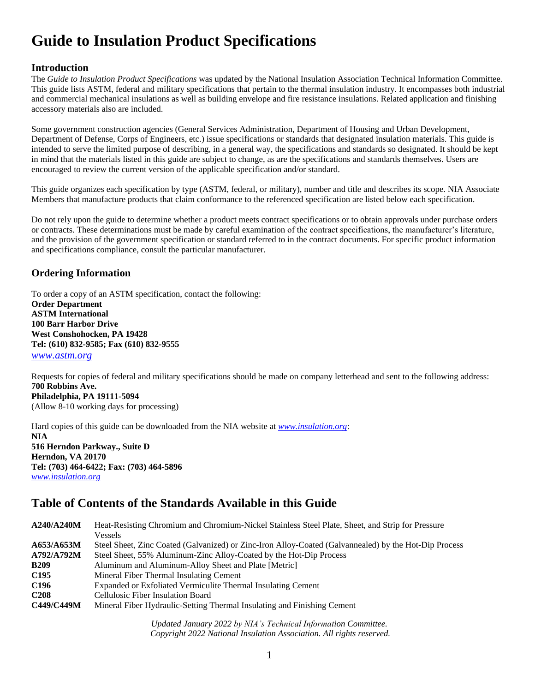# **Guide to Insulation Product Specifications**

## **Introduction**

The *Guide to Insulation Product Specifications* was updated by the National Insulation Association Technical Information Committee. This guide lists ASTM, federal and military specifications that pertain to the thermal insulation industry. It encompasses both industrial and commercial mechanical insulations as well as building envelope and fire resistance insulations. Related application and finishing accessory materials also are included.

Some government construction agencies (General Services Administration, Department of Housing and Urban Development, Department of Defense, Corps of Engineers, etc.) issue specifications or standards that designated insulation materials. This guide is intended to serve the limited purpose of describing, in a general way, the specifications and standards so designated. It should be kept in mind that the materials listed in this guide are subject to change, as are the specifications and standards themselves. Users are encouraged to review the current version of the applicable specification and/or standard.

This guide organizes each specification by type (ASTM, federal, or military), number and title and describes its scope. NIA Associate Members that manufacture products that claim conformance to the referenced specification are listed below each specification.

Do not rely upon the guide to determine whether a product meets contract specifications or to obtain approvals under purchase orders or contracts. These determinations must be made by careful examination of the contract specifications, the manufacturer's literature, and the provision of the government specification or standard referred to in the contract documents. For specific product information and specifications compliance, consult the particular manufacturer.

## **Ordering Information**

To order a copy of an ASTM specification, contact the following: **Order Department ASTM International 100 Barr Harbor Drive West Conshohocken, PA 19428 Tel: (610) 832-9585; Fax (610) 832-9555** *[www.astm.org](../../../Documents%20and%20Settings/jmclaughlin/Local%20Settings/Temporary%20Internet%20Files/OLK1B5/www.astm.org)*

Requests for copies of federal and military specifications should be made on company letterhead and sent to the following address: **700 Robbins Ave. Philadelphia, PA 19111-5094**

(Allow 8-10 working days for processing)

Hard copies of this guide can be downloaded from the NIA website at *[www.insulation.org](http://www.insulation.org/)*: **NIA 516 Herndon Parkway., Suite D Herndon, VA 20170 Tel: (703) 464-6422; Fax: (703) 464-5896** *[www.insulation.org](../../../Documents%20and%20Settings/jmclaughlin/Local%20Settings/Temporary%20Internet%20Files/OLK1B5/www.insulation.org)*

# **Table of Contents of the Standards Available in this Guide**

**A240/A240M** Heat-Resisting Chromium and Chromium-Nickel Stainless Steel Plate, Sheet, and Strip for Pressure Vessels **A653/A653M** Steel Sheet, Zinc Coated (Galvanized) or Zinc-Iron Alloy-Coated (Galvannealed) by the Hot-Dip Process **A792/A792M** Steel Sheet, 55% Aluminum-Zinc Alloy-Coated by the Hot-Dip Process **B209** Aluminum and Aluminum-Alloy Sheet and Plate [Metric] **C195** Mineral Fiber Thermal Insulating Cement **C196** Expanded or Exfoliated Vermiculite Thermal Insulating Cement **C208** Cellulosic Fiber Insulation Board **C449/C449M** Mineral Fiber Hydraulic-Setting Thermal Insulating and Finishing Cement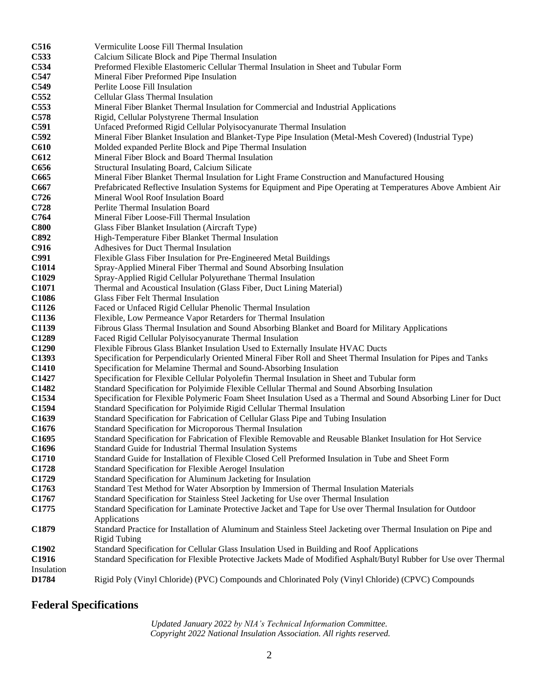| C516              | Vermiculite Loose Fill Thermal Insulation                                                                                                                                                 |
|-------------------|-------------------------------------------------------------------------------------------------------------------------------------------------------------------------------------------|
| C533              | Calcium Silicate Block and Pipe Thermal Insulation                                                                                                                                        |
| C534              | Preformed Flexible Elastomeric Cellular Thermal Insulation in Sheet and Tubular Form                                                                                                      |
| C547              | Mineral Fiber Preformed Pipe Insulation                                                                                                                                                   |
| C549              | Perlite Loose Fill Insulation                                                                                                                                                             |
| C552              | Cellular Glass Thermal Insulation                                                                                                                                                         |
| C553              | Mineral Fiber Blanket Thermal Insulation for Commercial and Industrial Applications                                                                                                       |
| <b>C578</b>       | Rigid, Cellular Polystyrene Thermal Insulation                                                                                                                                            |
| C591              | Unfaced Preformed Rigid Cellular Polyisocyanurate Thermal Insulation                                                                                                                      |
| C592              | Mineral Fiber Blanket Insulation and Blanket-Type Pipe Insulation (Metal-Mesh Covered) (Industrial Type)                                                                                  |
| C610              | Molded expanded Perlite Block and Pipe Thermal Insulation                                                                                                                                 |
| C612              | Mineral Fiber Block and Board Thermal Insulation                                                                                                                                          |
| C656              | Structural Insulating Board, Calcium Silicate                                                                                                                                             |
| C665              | Mineral Fiber Blanket Thermal Insulation for Light Frame Construction and Manufactured Housing                                                                                            |
| C667              | Prefabricated Reflective Insulation Systems for Equipment and Pipe Operating at Temperatures Above Ambient Air                                                                            |
| C726              | Mineral Wool Roof Insulation Board                                                                                                                                                        |
| C728              | Perlite Thermal Insulation Board                                                                                                                                                          |
| C764              | Mineral Fiber Loose-Fill Thermal Insulation                                                                                                                                               |
| <b>C800</b>       | Glass Fiber Blanket Insulation (Aircraft Type)                                                                                                                                            |
| <b>C892</b>       | High-Temperature Fiber Blanket Thermal Insulation                                                                                                                                         |
| C916              | Adhesives for Duct Thermal Insulation                                                                                                                                                     |
| C991              | Flexible Glass Fiber Insulation for Pre-Engineered Metal Buildings                                                                                                                        |
| C <sub>1014</sub> | Spray-Applied Mineral Fiber Thermal and Sound Absorbing Insulation                                                                                                                        |
| C1029             | Spray-Applied Rigid Cellular Polyurethane Thermal Insulation                                                                                                                              |
| C1071             | Thermal and Acoustical Insulation (Glass Fiber, Duct Lining Material)                                                                                                                     |
| C1086             | Glass Fiber Felt Thermal Insulation                                                                                                                                                       |
| C1126             | Faced or Unfaced Rigid Cellular Phenolic Thermal Insulation                                                                                                                               |
| C1136             | Flexible, Low Permeance Vapor Retarders for Thermal Insulation                                                                                                                            |
| C1139             | Fibrous Glass Thermal Insulation and Sound Absorbing Blanket and Board for Military Applications                                                                                          |
| C1289             | Faced Rigid Cellular Polyisocyanurate Thermal Insulation                                                                                                                                  |
| C1290             | Flexible Fibrous Glass Blanket Insulation Used to Externally Insulate HVAC Ducts                                                                                                          |
| C1393             | Specification for Perpendicularly Oriented Mineral Fiber Roll and Sheet Thermal Insulation for Pipes and Tanks                                                                            |
| C1410             | Specification for Melamine Thermal and Sound-Absorbing Insulation                                                                                                                         |
| C1427<br>C1482    | Specification for Flexible Cellular Polyolefin Thermal Insulation in Sheet and Tubular form                                                                                               |
| C1534             | Standard Specification for Polyimide Flexible Cellular Thermal and Sound Absorbing Insulation                                                                                             |
| C1594             | Specification for Flexible Polymeric Foam Sheet Insulation Used as a Thermal and Sound Absorbing Liner for Duct<br>Standard Specification for Polyimide Rigid Cellular Thermal Insulation |
| C1639             | Standard Specification for Fabrication of Cellular Glass Pipe and Tubing Insulation                                                                                                       |
| C <sub>1676</sub> | Standard Specification for Microporous Thermal Insulation                                                                                                                                 |
| C1695             | Standard Specification for Fabrication of Flexible Removable and Reusable Blanket Insulation for Hot Service                                                                              |
| C1696             | Standard Guide for Industrial Thermal Insulation Systems                                                                                                                                  |
| C1710             | Standard Guide for Installation of Flexible Closed Cell Preformed Insulation in Tube and Sheet Form                                                                                       |
| C1728             | Standard Specification for Flexible Aerogel Insulation                                                                                                                                    |
| C1729             | Standard Specification for Aluminum Jacketing for Insulation                                                                                                                              |
| C1763             | Standard Test Method for Water Absorption by Immersion of Thermal Insulation Materials                                                                                                    |
| C1767             | Standard Specification for Stainless Steel Jacketing for Use over Thermal Insulation                                                                                                      |
| C1775             | Standard Specification for Laminate Protective Jacket and Tape for Use over Thermal Insulation for Outdoor                                                                                |
|                   | Applications                                                                                                                                                                              |
| C1879             | Standard Practice for Installation of Aluminum and Stainless Steel Jacketing over Thermal Insulation on Pipe and                                                                          |
|                   | <b>Rigid Tubing</b>                                                                                                                                                                       |
| C1902             | Standard Specification for Cellular Glass Insulation Used in Building and Roof Applications                                                                                               |
| C1916             | Standard Specification for Flexible Protective Jackets Made of Modified Asphalt/Butyl Rubber for Use over Thermal                                                                         |
| Insulation        |                                                                                                                                                                                           |
| D1784             | Rigid Poly (Vinyl Chloride) (PVC) Compounds and Chlorinated Poly (Vinyl Chloride) (CPVC) Compounds                                                                                        |

# **Federal Specifications**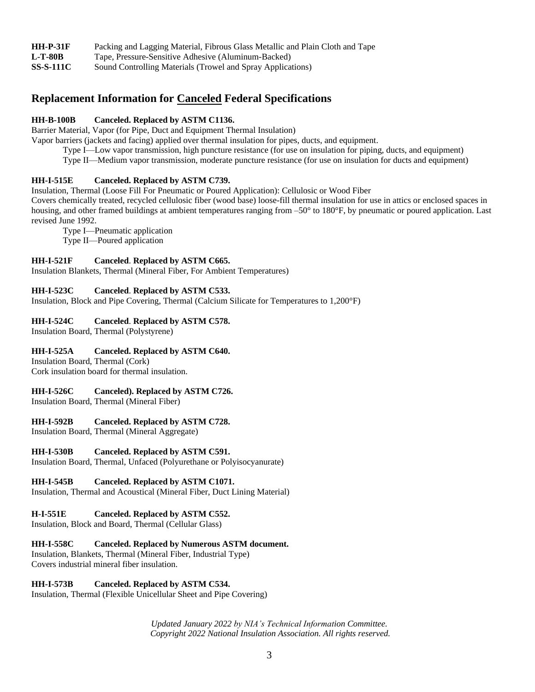| <b>HH-P-31F</b>  | Packing and Lagging Material, Fibrous Glass Metallic and Plain Cloth and Tape |
|------------------|-------------------------------------------------------------------------------|
| <b>L-T-80B</b>   | Tape, Pressure-Sensitive Adhesive (Aluminum-Backed)                           |
| <b>SS-S-111C</b> | Sound Controlling Materials (Trowel and Spray Applications)                   |

## **Replacement Information for Canceled Federal Specifications**

## **HH-B-100B Canceled. Replaced by ASTM C1136.**

Barrier Material, Vapor (for Pipe, Duct and Equipment Thermal Insulation)

Vapor barriers (jackets and facing) applied over thermal insulation for pipes, ducts, and equipment.

Type I—Low vapor transmission, high puncture resistance (for use on insulation for piping, ducts, and equipment)

Type II—Medium vapor transmission, moderate puncture resistance (for use on insulation for ducts and equipment)

## **HH-I-515E Canceled. Replaced by ASTM C739.**

Insulation, Thermal (Loose Fill For Pneumatic or Poured Application): Cellulosic or Wood Fiber

Covers chemically treated, recycled cellulosic fiber (wood base) loose-fill thermal insulation for use in attics or enclosed spaces in housing, and other framed buildings at ambient temperatures ranging from -50° to 180°F, by pneumatic or poured application. Last revised June 1992.

Type I—Pneumatic application Type II—Poured application

## **HH-I-521F Canceled**. **Replaced by ASTM C665.**

Insulation Blankets, Thermal (Mineral Fiber, For Ambient Temperatures)

## **HH-I-523C Canceled**. **Replaced by ASTM C533.**

Insulation, Block and Pipe Covering, Thermal (Calcium Silicate for Temperatures to 1,200°F)

## **HH-I-524C Canceled**. **Replaced by ASTM C578.**

Insulation Board, Thermal (Polystyrene)

## **HH-I-525A Canceled. Replaced by ASTM C640.**

Insulation Board, Thermal (Cork) Cork insulation board for thermal insulation.

## **HH-I-526C Canceled). Replaced by ASTM C726.**

Insulation Board, Thermal (Mineral Fiber)

#### **HH-I-592B Canceled. Replaced by ASTM C728.**

Insulation Board, Thermal (Mineral Aggregate)

#### **HH-I-530B Canceled. Replaced by ASTM C591.**

Insulation Board, Thermal, Unfaced (Polyurethane or Polyisocyanurate)

#### **HH-I-545B Canceled. Replaced by ASTM C1071.**

Insulation, Thermal and Acoustical (Mineral Fiber, Duct Lining Material)

#### **H-I-551E Canceled. Replaced by ASTM C552.**

Insulation, Block and Board, Thermal (Cellular Glass)

#### **HH-I-558C Canceled. Replaced by Numerous ASTM document.**

Insulation, Blankets, Thermal (Mineral Fiber, Industrial Type) Covers industrial mineral fiber insulation.

#### **HH-I-573B Canceled. Replaced by ASTM C534.**

Insulation, Thermal (Flexible Unicellular Sheet and Pipe Covering)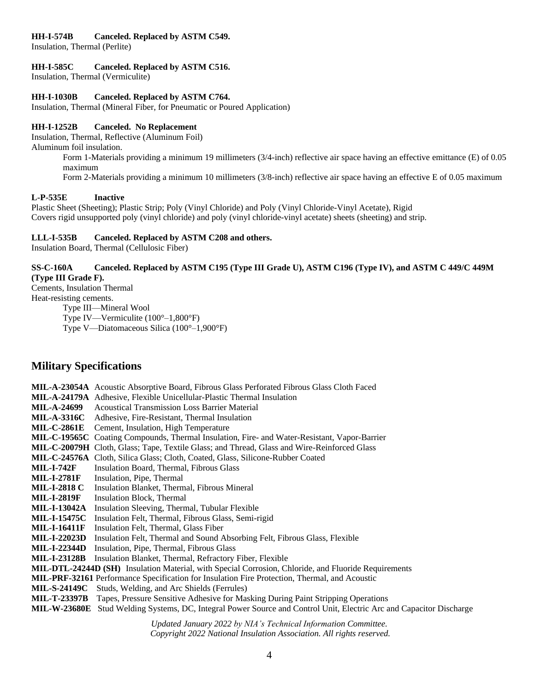#### **HH-I-574B Canceled. Replaced by ASTM C549.**

Insulation, Thermal (Perlite)

#### **HH-I-585C Canceled. Replaced by ASTM C516.**

Insulation, Thermal (Vermiculite)

#### **HH-I-1030B Canceled. Replaced by ASTM C764.**

Insulation, Thermal (Mineral Fiber, for Pneumatic or Poured Application)

#### **HH-I-1252B Canceled. No Replacement**

Insulation, Thermal, Reflective (Aluminum Foil)

Aluminum foil insulation.

Form 1-Materials providing a minimum 19 millimeters (3/4-inch) reflective air space having an effective emittance (E) of 0.05 maximum

Form 2-Materials providing a minimum 10 millimeters (3/8-inch) reflective air space having an effective E of 0.05 maximum

#### **L-P-535E Inactive**

Plastic Sheet (Sheeting); Plastic Strip; Poly (Vinyl Chloride) and Poly (Vinyl Chloride-Vinyl Acetate), Rigid Covers rigid unsupported poly (vinyl chloride) and poly (vinyl chloride-vinyl acetate) sheets (sheeting) and strip.

#### **LLL-I-535B Canceled. Replaced by ASTM C208 and others.**

Insulation Board, Thermal (Cellulosic Fiber)

### **SS-C-160A Canceled. Replaced by ASTM C195 (Type III Grade U), ASTM C196 (Type IV), and ASTM C 449/C 449M (Type III Grade F).**

Cements, Insulation Thermal

Heat-resisting cements.

Type III—Mineral Wool

Type IV—Vermiculite (100°–1,800°F)

Type V—Diatomaceous Silica (100°–1,900°F)

## **Military Specifications**

*Updated January 2022 by NIA's Technical Information Committee. Copyright 2022 National Insulation Association. All rights reserved.* **MIL-A-23054A** Acoustic Absorptive Board, Fibrous Glass Perforated Fibrous Glass Cloth Faced **MIL-A-24179A** Adhesive, Flexible Unicellular-Plastic Thermal Insulation **MIL-A-24699** Acoustical Transmission Loss Barrier Material **MIL-A-3316C** Adhesive, Fire-Resistant, Thermal Insulation **MIL-C-2861E** Cement, Insulation, High Temperature **MIL-C-19565C** Coating Compounds, Thermal Insulation, Fire- and Water-Resistant, Vapor-Barrier **MIL-C-20079H** Cloth, Glass; Tape, Textile Glass; and Thread, Glass and Wire-Reinforced Glass **MIL-C-24576A** Cloth, Silica Glass; Cloth, Coated, Glass, Silicone-Rubber Coated **MIL-I-742F** Insulation Board, Thermal, Fibrous Glass **MIL-I-2781F** Insulation, Pipe, Thermal **MIL-I-2818 C** Insulation Blanket, Thermal, Fibrous Mineral **MIL-I-2819F** Insulation Block, Thermal **MIL-I-13042A** Insulation Sleeving, Thermal, Tubular Flexible **MIL-I-15475C** Insulation Felt, Thermal, Fibrous Glass, Semi-rigid **MIL-I-16411F** Insulation Felt, Thermal, Glass Fiber **MIL-I-22023D** Insulation Felt, Thermal and Sound Absorbing Felt, Fibrous Glass, Flexible **MIL-I-22344D** Insulation, Pipe, Thermal, Fibrous Glass **MIL-I-23128B** Insulation Blanket, Thermal, Refractory Fiber, Flexible **MIL-DTL-24244D (SH)** Insulation Material, with Special Corrosion, Chloride, and Fluoride Requirements **MIL-PRF-32161** Performance Specification for Insulation Fire Protection, Thermal, and Acoustic **MIL-S-24149C** Studs, Welding, and Arc Shields (Ferrules) **MIL-T-23397B** Tapes, Pressure Sensitive Adhesive for Masking During Paint Stripping Operations **MIL-W-23680E** Stud Welding Systems, DC, Integral Power Source and Control Unit, Electric Arc and Capacitor Discharge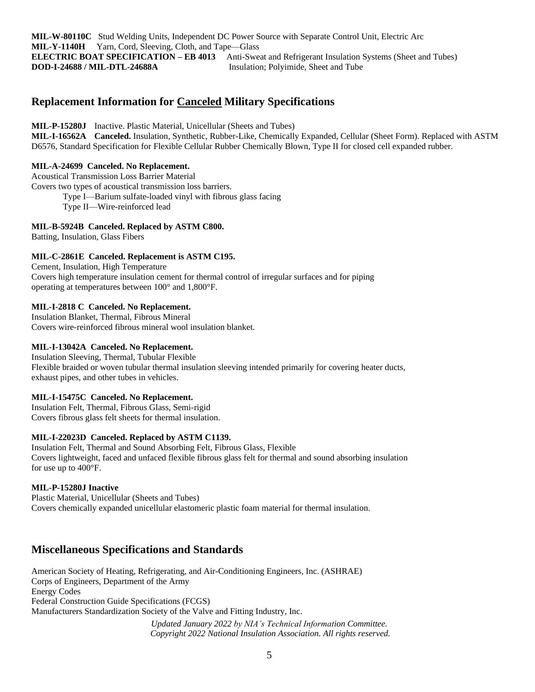**MIL-W-80110C** Stud Welding Units, Independent DC Power Source with Separate Control Unit, Electric Arc **MIL-Y-1140H** Yarn, Cord, Sleeving, Cloth, and Tape—Glass **ELECTRIC BOAT SPECIFICATION – EB 4013** Anti-Sweat and Refrigerant Insulation Systems (Sheet and Tubes) **DOD-I-24688 / MIL-DTL-24688A** Insulation; Polyimide, Sheet and Tube

## **Replacement Information for Canceled Military Specifications**

**MIL-P-15280J** Inactive. Plastic Material, Unicellular (Sheets and Tubes)

**MIL-I-16562A Canceled.** Insulation, Synthetic, Rubber-Like, Chemically Expanded, Cellular (Sheet Form). Replaced with ASTM D6576, Standard Specification for Flexible Cellular Rubber Chemically Blown, Type II for closed cell expanded rubber.

### **MIL-A-24699 Canceled. No Replacement.**

Acoustical Transmission Loss Barrier Material

Covers two types of acoustical transmission loss barriers.

Type I—Barium sulfate-loaded vinyl with fibrous glass facing

Type II—Wire-reinforced lead

## **MIL-B-5924B Canceled. Replaced by ASTM C800.**

Batting, Insulation, Glass Fibers

## **MIL-C-2861E Canceled. Replacement is ASTM C195.**

Cement, Insulation, High Temperature Covers high temperature insulation cement for thermal control of irregular surfaces and for piping operating at temperatures between 100° and 1,800°F.

## **MIL-I-2818 C Canceled. No Replacement.**

Insulation Blanket, Thermal, Fibrous Mineral Covers wire-reinforced fibrous mineral wool insulation blanket.

### **MIL-I-13042A Canceled. No Replacement.**

Insulation Sleeving, Thermal, Tubular Flexible Flexible braided or woven tubular thermal insulation sleeving intended primarily for covering heater ducts, exhaust pipes, and other tubes in vehicles.

#### **MIL-I-15475C Canceled. No Replacement.**

Insulation Felt, Thermal, Fibrous Glass, Semi-rigid Covers fibrous glass felt sheets for thermal insulation.

#### **MIL-I-22023D Canceled. Replaced by ASTM C1139.**

Insulation Felt, Thermal and Sound Absorbing Felt, Fibrous Glass, Flexible Covers lightweight, faced and unfaced flexible fibrous glass felt for thermal and sound absorbing insulation for use up to 400°F.

#### **MIL-P-15280J Inactive**

Plastic Material, Unicellular (Sheets and Tubes) Covers chemically expanded unicellular elastomeric plastic foam material for thermal insulation.

## **Miscellaneous Specifications and Standards**

American Society of Heating, Refrigerating, and Air-Conditioning Engineers, Inc. (ASHRAE) Corps of Engineers, Department of the Army Energy Codes Federal Construction Guide Specifications (FCGS) Manufacturers Standardization Society of the Valve and Fitting Industry, Inc.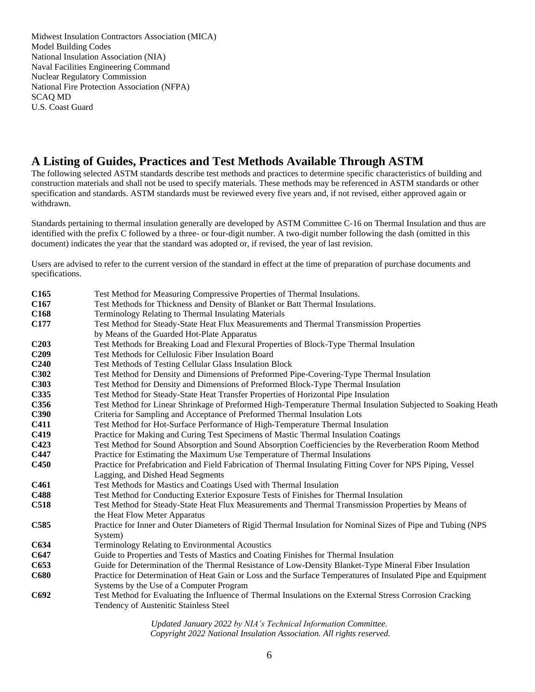Midwest Insulation Contractors Association (MICA) Model Building Codes National Insulation Association (NIA) Naval Facilities Engineering Command Nuclear Regulatory Commission National Fire Protection Association (NFPA) SCAQ MD U.S. Coast Guard

## **A Listing of Guides, Practices and Test Methods Available Through ASTM**

The following selected ASTM standards describe test methods and practices to determine specific characteristics of building and construction materials and shall not be used to specify materials. These methods may be referenced in ASTM standards or other specification and standards. ASTM standards must be reviewed every five years and, if not revised, either approved again or withdrawn.

Standards pertaining to thermal insulation generally are developed by ASTM Committee C-16 on Thermal Insulation and thus are identified with the prefix C followed by a three- or four-digit number. A two-digit number following the dash (omitted in this document) indicates the year that the standard was adopted or, if revised, the year of last revision.

Users are advised to refer to the current version of the standard in effect at the time of preparation of purchase documents and specifications.

**C165** Test Method for Measuring Compressive Properties of Thermal Insulations. **C167** Test Methods for Thickness and Density of Blanket or Batt Thermal Insulations. **C168** Terminology Relating to Thermal Insulating Materials **C177** Test Method for Steady-State Heat Flux Measurements and Thermal Transmission Properties by Means of the Guarded Hot-Plate Apparatus **C203** Test Methods for Breaking Load and Flexural Properties of Block-Type Thermal Insulation **C209** Test Methods for Cellulosic Fiber Insulation Board **C240** Test Methods of Testing Cellular Glass Insulation Block **C302** Test Method for Density and Dimensions of Preformed Pipe-Covering-Type Thermal Insulation **C303** Test Method for Density and Dimensions of Preformed Block-Type Thermal Insulation **C335** Test Method for Steady-State Heat Transfer Properties of Horizontal Pipe Insulation **C356** Test Method for Linear Shrinkage of Preformed High-Temperature Thermal Insulation Subjected to Soaking Heath **C390** Criteria for Sampling and Acceptance of Preformed Thermal Insulation Lots **C411** Test Method for Hot-Surface Performance of High-Temperature Thermal Insulation **C419** Practice for Making and Curing Test Specimens of Mastic Thermal Insulation Coatings **C423** Test Method for Sound Absorption and Sound Absorption Coefficiencies by the Reverberation Room Method **C447** Practice for Estimating the Maximum Use Temperature of Thermal Insulations **C450** Practice for Prefabrication and Field Fabrication of Thermal Insulating Fitting Cover for NPS Piping, Vessel Lagging, and Dished Head Segments **C461** Test Methods for Mastics and Coatings Used with Thermal Insulation **C488** Test Method for Conducting Exterior Exposure Tests of Finishes for Thermal Insulation **C518** Test Method for Steady-State Heat Flux Measurements and Thermal Transmission Properties by Means of the Heat Flow Meter Apparatus **C585** Practice for Inner and Outer Diameters of Rigid Thermal Insulation for Nominal Sizes of Pipe and Tubing (NPS System) **C634** Terminology Relating to Environmental Acoustics **C647** Guide to Properties and Tests of Mastics and Coating Finishes for Thermal Insulation **C653** Guide for Determination of the Thermal Resistance of Low-Density Blanket-Type Mineral Fiber Insulation **C680** Practice for Determination of Heat Gain or Loss and the Surface Temperatures of Insulated Pipe and Equipment Systems by the Use of a Computer Program **C692** Test Method for Evaluating the Influence of Thermal Insulations on the External Stress Corrosion Cracking Tendency of Austenitic Stainless Steel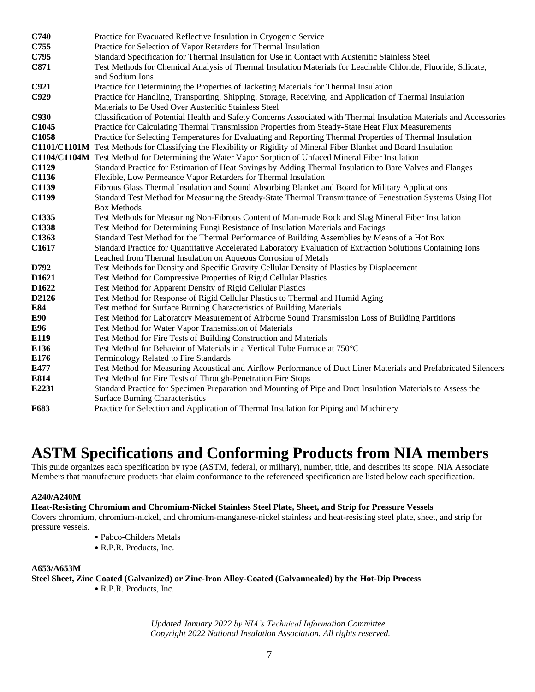| C740        | Practice for Evacuated Reflective Insulation in Cryogenic Service                                                   |
|-------------|---------------------------------------------------------------------------------------------------------------------|
| C755        | Practice for Selection of Vapor Retarders for Thermal Insulation                                                    |
| C795        | Standard Specification for Thermal Insulation for Use in Contact with Austenitic Stainless Steel                    |
| C871        | Test Methods for Chemical Analysis of Thermal Insulation Materials for Leachable Chloride, Fluoride, Silicate,      |
|             | and Sodium Ions                                                                                                     |
| C921        | Practice for Determining the Properties of Jacketing Materials for Thermal Insulation                               |
| C929        | Practice for Handling, Transporting, Shipping, Storage, Receiving, and Application of Thermal Insulation            |
|             | Materials to Be Used Over Austenitic Stainless Steel                                                                |
| <b>C930</b> | Classification of Potential Health and Safety Concerns Associated with Thermal Insulation Materials and Accessories |
| C1045       | Practice for Calculating Thermal Transmission Properties from Steady-State Heat Flux Measurements                   |
| C1058       | Practice for Selecting Temperatures for Evaluating and Reporting Thermal Properties of Thermal Insulation           |
|             | C1101/C1101M Test Methods for Classifying the Flexibility or Rigidity of Mineral Fiber Blanket and Board Insulation |
|             | C1104/C1104M Test Method for Determining the Water Vapor Sorption of Unfaced Mineral Fiber Insulation               |
| C1129       | Standard Practice for Estimation of Heat Savings by Adding Thermal Insulation to Bare Valves and Flanges            |
| C1136       | Flexible, Low Permeance Vapor Retarders for Thermal Insulation                                                      |
| C1139       | Fibrous Glass Thermal Insulation and Sound Absorbing Blanket and Board for Military Applications                    |
| C1199       | Standard Test Method for Measuring the Steady-State Thermal Transmittance of Fenestration Systems Using Hot         |
|             | <b>Box Methods</b>                                                                                                  |
| C1335       | Test Methods for Measuring Non-Fibrous Content of Man-made Rock and Slag Mineral Fiber Insulation                   |
| C1338       | Test Method for Determining Fungi Resistance of Insulation Materials and Facings                                    |
| C1363       | Standard Test Method for the Thermal Performance of Building Assemblies by Means of a Hot Box                       |
| C1617       | Standard Practice for Quantitative Accelerated Laboratory Evaluation of Extraction Solutions Containing Ions        |
|             | Leached from Thermal Insulation on Aqueous Corrosion of Metals                                                      |
| D792        | Test Methods for Density and Specific Gravity Cellular Density of Plastics by Displacement                          |
| D1621       | Test Method for Compressive Properties of Rigid Cellular Plastics                                                   |
| D1622       | Test Method for Apparent Density of Rigid Cellular Plastics                                                         |
| D2126       | Test Method for Response of Rigid Cellular Plastics to Thermal and Humid Aging                                      |
| E84         | Test method for Surface Burning Characteristics of Building Materials                                               |
| <b>E90</b>  | Test Method for Laboratory Measurement of Airborne Sound Transmission Loss of Building Partitions                   |
| E96         | Test Method for Water Vapor Transmission of Materials                                                               |
| E119        | Test Method for Fire Tests of Building Construction and Materials                                                   |
| E136        | Test Method for Behavior of Materials in a Vertical Tube Furnace at 750°C                                           |
| E176        | Terminology Related to Fire Standards                                                                               |
| E477        | Test Method for Measuring Acoustical and Airflow Performance of Duct Liner Materials and Prefabricated Silencers    |
| E814        | Test Method for Fire Tests of Through-Penetration Fire Stops                                                        |
| E2231       | Standard Practice for Specimen Preparation and Mounting of Pipe and Duct Insulation Materials to Assess the         |
|             | <b>Surface Burning Characteristics</b>                                                                              |
| F683        | Practice for Selection and Application of Thermal Insulation for Piping and Machinery                               |

# **ASTM Specifications and Conforming Products from NIA members**

This guide organizes each specification by type (ASTM, federal, or military), number, title, and describes its scope. NIA Associate Members that manufacture products that claim conformance to the referenced specification are listed below each specification.

## **A240/A240M**

## **Heat-Resisting Chromium and Chromium-Nickel Stainless Steel Plate, Sheet, and Strip for Pressure Vessels**

Covers chromium, chromium-nickel, and chromium-manganese-nickel stainless and heat-resisting steel plate, sheet, and strip for pressure vessels.

- Pabco-Childers Metals
- R.P.R. Products, Inc.

## **A653/A653M**

**Steel Sheet, Zinc Coated (Galvanized) or Zinc-Iron Alloy-Coated (Galvannealed) by the Hot-Dip Process**

• R.P.R. Products, Inc.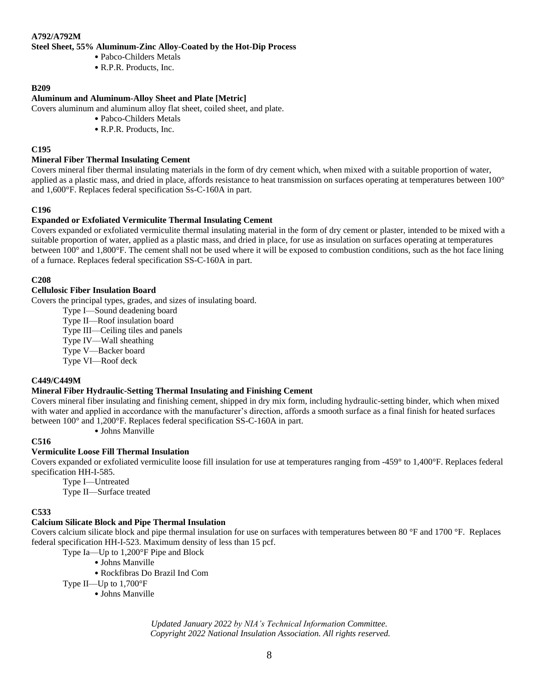### **A792/A792M**

#### **Steel Sheet, 55% Aluminum-Zinc Alloy-Coated by the Hot-Dip Process**

- Pabco-Childers Metals
- R.P.R. Products, Inc.

### **B209**

## **Aluminum and Aluminum-Alloy Sheet and Plate [Metric]**

Covers aluminum and aluminum alloy flat sheet, coiled sheet, and plate.

- Pabco-Childers Metals
- R.P.R. Products, Inc.

#### **C195**

#### **Mineral Fiber Thermal Insulating Cement**

Covers mineral fiber thermal insulating materials in the form of dry cement which, when mixed with a suitable proportion of water, applied as a plastic mass, and dried in place, affords resistance to heat transmission on surfaces operating at temperatures between 100° and 1,600°F. Replaces federal specification Ss-C-160A in part.

#### **C196**

#### **Expanded or Exfoliated Vermiculite Thermal Insulating Cement**

Covers expanded or exfoliated vermiculite thermal insulating material in the form of dry cement or plaster, intended to be mixed with a suitable proportion of water, applied as a plastic mass, and dried in place, for use as insulation on surfaces operating at temperatures between 100° and 1,800°F. The cement shall not be used where it will be exposed to combustion conditions, such as the hot face lining of a furnace. Replaces federal specification SS-C-160A in part.

## **C208**

#### **Cellulosic Fiber Insulation Board**

Covers the principal types, grades, and sizes of insulating board.

Type I—Sound deadening board

Type II—Roof insulation board

Type III—Ceiling tiles and panels

Type IV—Wall sheathing

Type V—Backer board

Type VI—Roof deck

#### **C449/C449M**

## **Mineral Fiber Hydraulic-Setting Thermal Insulating and Finishing Cement**

Covers mineral fiber insulating and finishing cement, shipped in dry mix form, including hydraulic-setting binder, which when mixed with water and applied in accordance with the manufacturer's direction, affords a smooth surface as a final finish for heated surfaces between 100° and 1,200°F. Replaces federal specification SS-C-160A in part.

• Johns Manville

#### **C516**

### **Vermiculite Loose Fill Thermal Insulation**

Covers expanded or exfoliated vermiculite loose fill insulation for use at temperatures ranging from -459° to 1,400°F. Replaces federal specification HH-I-585.

Type I—Untreated

Type II—Surface treated

#### **C533**

#### **Calcium Silicate Block and Pipe Thermal Insulation**

Covers calcium silicate block and pipe thermal insulation for use on surfaces with temperatures between 80 °F and 1700 °F. Replaces federal specification HH-I-523. Maximum density of less than 15 pcf.

Type Ia—Up to 1,200°F Pipe and Block

- Johns Manville
- Rockfibras Do Brazil Ind Com

Type II—Up to 1,700°F

• Johns Manville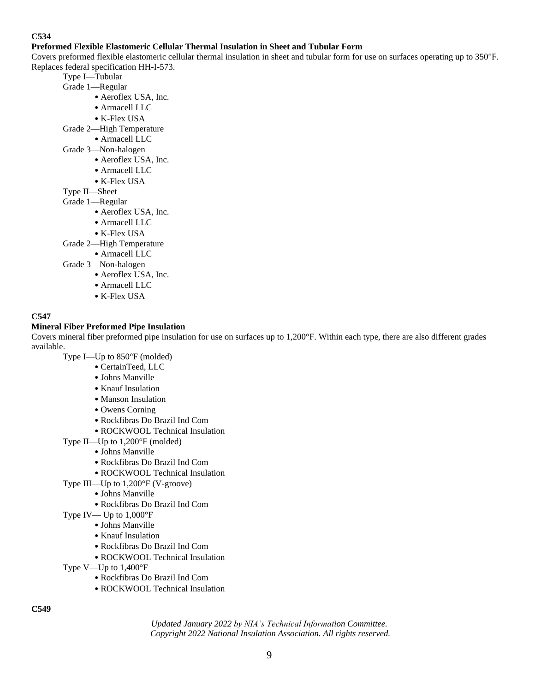## **Preformed Flexible Elastomeric Cellular Thermal Insulation in Sheet and Tubular Form**

Covers preformed flexible elastomeric cellular thermal insulation in sheet and tubular form for use on surfaces operating up to 350°F. Replaces federal specification HH-I-573.

- Type I—Tubular
- Grade 1—Regular
	- Aeroflex USA, Inc.
	- Armacell LLC
	- K-Flex USA
- Grade 2—High Temperature
	- Armacell LLC
- Grade 3—Non-halogen
	- Aeroflex USA, Inc.
	- Armacell LLC
	- K-Flex USA
- Type II—Sheet
- Grade 1—Regular
	- Aeroflex USA, Inc.
	- Armacell LLC
	- K-Flex USA
- Grade 2—High Temperature
	- Armacell LLC
- Grade 3—Non-halogen
	- Aeroflex USA, Inc.
	- Armacell LLC
	- K-Flex USA

## **C547**

## **Mineral Fiber Preformed Pipe Insulation**

Covers mineral fiber preformed pipe insulation for use on surfaces up to 1,200°F. Within each type, there are also different grades available.

Type I—Up to 850°F (molded)

- CertainTeed, LLC
- Johns Manville
- Knauf Insulation
- Manson Insulation
- Owens Corning
- Rockfibras Do Brazil Ind Com
- ROCKWOOL Technical Insulation
- Type II—Up to 1,200°F (molded)
	- Johns Manville
	- Rockfibras Do Brazil Ind Com
	- ROCKWOOL Technical Insulation
- Type III—Up to 1,200°F (V-groove)
	- Johns Manville
	- Rockfibras Do Brazil Ind Com
- Type IV— Up to 1,000°F
	- Johns Manville
	- Knauf Insulation
	- Rockfibras Do Brazil Ind Com
	- ROCKWOOL Technical Insulation
- Type V—Up to 1,400°F
	- Rockfibras Do Brazil Ind Com
	- ROCKWOOL Technical Insulation

**C549**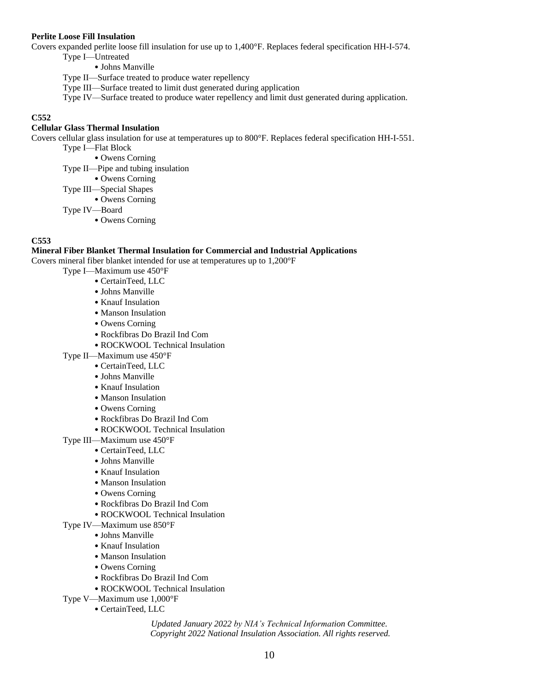#### **Perlite Loose Fill Insulation**

Covers expanded perlite loose fill insulation for use up to 1,400°F. Replaces federal specification HH-I-574.

Type I—Untreated

• Johns Manville

Type II—Surface treated to produce water repellency

Type III—Surface treated to limit dust generated during application

Type IV—Surface treated to produce water repellency and limit dust generated during application.

## **C552**

## **Cellular Glass Thermal Insulation**

Covers cellular glass insulation for use at temperatures up to 800°F. Replaces federal specification HH-I-551.

Type I—Flat Block

• Owens Corning

Type II—Pipe and tubing insulation

• Owens Corning

Type III—Special Shapes

• Owens Corning

Type IV—Board

• Owens Corning

## **C553**

#### **Mineral Fiber Blanket Thermal Insulation for Commercial and Industrial Applications**

Covers mineral fiber blanket intended for use at temperatures up to 1,200°F

- Type I—Maximum use 450°F
	- CertainTeed, LLC
	- Johns Manville
	- Knauf Insulation
	- Manson Insulation
	- Owens Corning
	- Rockfibras Do Brazil Ind Com
	- ROCKWOOL Technical Insulation
- Type II—Maximum use 450°F
	- CertainTeed, LLC
	- Johns Manville
	- Knauf Insulation
	- Manson Insulation
	- Owens Corning
	- Rockfibras Do Brazil Ind Com
	- ROCKWOOL Technical Insulation

Type III—Maximum use 450°F

- CertainTeed, LLC
- Johns Manville
- Knauf Insulation
- Manson Insulation
- Owens Corning
- Rockfibras Do Brazil Ind Com
- ROCKWOOL Technical Insulation

## Type IV—Maximum use 850°F

- Johns Manville
- Knauf Insulation
- Manson Insulation
- Owens Corning
- Rockfibras Do Brazil Ind Com
- ROCKWOOL Technical Insulation
- Type V—Maximum use 1,000°F
	- CertainTeed, LLC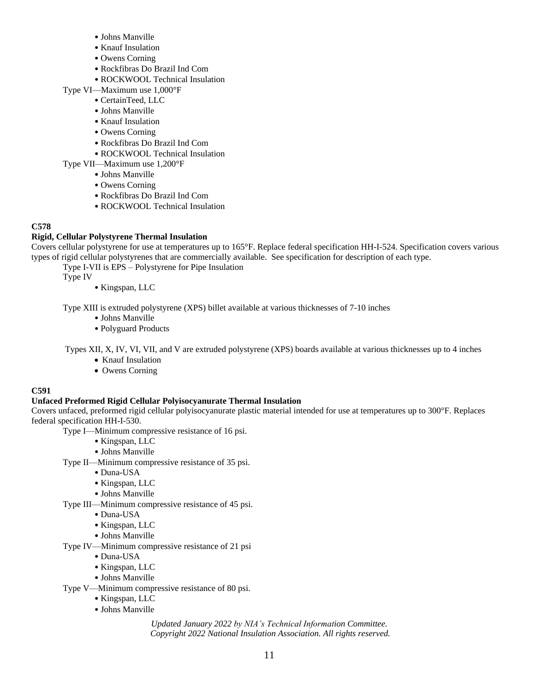- Johns Manville
- Knauf Insulation
- Owens Corning
- Rockfibras Do Brazil Ind Com
- ROCKWOOL Technical Insulation
- Type VI—Maximum use 1,000°F
	- CertainTeed, LLC
	- Johns Manville
	- Knauf Insulation
	- Owens Corning
	- Rockfibras Do Brazil Ind Com
	- ROCKWOOL Technical Insulation
- Type VII—Maximum use 1,200°F
	- Johns Manville
	- Owens Corning
	- Rockfibras Do Brazil Ind Com
	- ROCKWOOL Technical Insulation

## **Rigid, Cellular Polystyrene Thermal Insulation**

Covers cellular polystyrene for use at temperatures up to 165°F. Replace federal specification HH-I-524. Specification covers various types of rigid cellular polystyrenes that are commercially available. See specification for description of each type.

Type I-VII is EPS – Polystyrene for Pipe Insulation

Type IV

• Kingspan, LLC

Type XIII is extruded polystyrene (XPS) billet available at various thicknesses of 7-10 inches

- Johns Manville
- Polyguard Products

Types XII, X, IV, VI, VII, and V are extruded polystyrene (XPS) boards available at various thicknesses up to 4 inches

- Knauf Insulation
- Owens Corning

## **C591**

## **Unfaced Preformed Rigid Cellular Polyisocyanurate Thermal Insulation**

Covers unfaced, preformed rigid cellular polyisocyanurate plastic material intended for use at temperatures up to 300°F. Replaces federal specification HH-I-530.

- Type I—Minimum compressive resistance of 16 psi.
	- Kingspan, LLC
	- Johns Manville
- Type II—Minimum compressive resistance of 35 psi.
	- Duna-USA
	- Kingspan, LLC
	- Johns Manville
- Type III—Minimum compressive resistance of 45 psi.
	- Duna-USA
		- Kingspan, LLC
		- Johns Manville
- Type IV—Minimum compressive resistance of 21 psi
	- Duna-USA
		- Kingspan, LLC
	- Johns Manville
- Type V—Minimum compressive resistance of 80 psi.
	- Kingspan, LLC
	- Johns Manville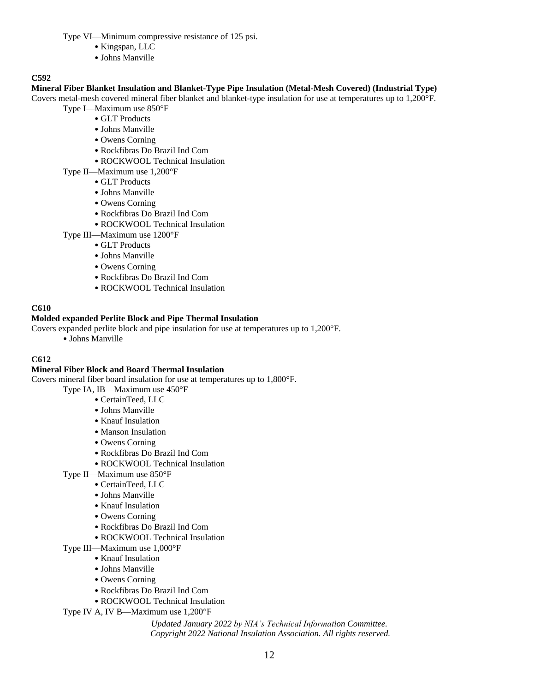Type VI—Minimum compressive resistance of 125 psi.

- Kingspan, LLC
- Johns Manville

## **C592**

## **Mineral Fiber Blanket Insulation and Blanket-Type Pipe Insulation (Metal-Mesh Covered) (Industrial Type)**

Covers metal-mesh covered mineral fiber blanket and blanket-type insulation for use at temperatures up to 1,200°F. Type I—Maximum use 850°F

- GLT Products
- Johns Manville
- Owens Corning
- Rockfibras Do Brazil Ind Com
- ROCKWOOL Technical Insulation
- Type II—Maximum use 1,200°F
	- GLT Products
	- Johns Manville
	- Owens Corning
	- Rockfibras Do Brazil Ind Com
	- ROCKWOOL Technical Insulation
- Type III—Maximum use 1200°F
	- GLT Products
	- Johns Manville
	- Owens Corning
	- Rockfibras Do Brazil Ind Com
	- ROCKWOOL Technical Insulation

## **C610**

## **Molded expanded Perlite Block and Pipe Thermal Insulation**

Covers expanded perlite block and pipe insulation for use at temperatures up to 1,200°F.

• Johns Manville

## **C612**

## **Mineral Fiber Block and Board Thermal Insulation**

Covers mineral fiber board insulation for use at temperatures up to 1,800°F.

- Type IA, IB—Maximum use 450°F
	- CertainTeed, LLC
		- Johns Manville
		- Knauf Insulation
		- Manson Insulation
		- Owens Corning
		- Rockfibras Do Brazil Ind Com
		- ROCKWOOL Technical Insulation
- Type II—Maximum use 850°F
	- CertainTeed, LLC
		- Johns Manville
		- Knauf Insulation
		- Owens Corning
		- Rockfibras Do Brazil Ind Com
		- ROCKWOOL Technical Insulation
- Type III—Maximum use 1,000°F
	- Knauf Insulation
		- Johns Manville
		- Owens Corning
		- Rockfibras Do Brazil Ind Com
	- ROCKWOOL Technical Insulation
- Type IV A, IV B—Maximum use 1,200°F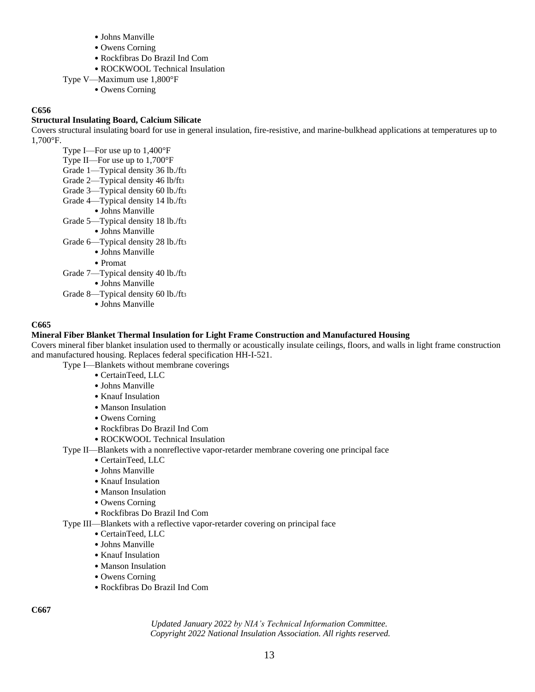- Johns Manville
- Owens Corning
- Rockfibras Do Brazil Ind Com
- ROCKWOOL Technical Insulation
- Type V—Maximum use 1,800°F
	- Owens Corning

## **Structural Insulating Board, Calcium Silicate**

Covers structural insulating board for use in general insulation, fire-resistive, and marine-bulkhead applications at temperatures up to 1,700°F.

Type I—For use up to 1,400°F Type II—For use up to 1,700°F Grade 1—Typical density 36 lb./ft<sup>3</sup> Grade 2—Typical density 46 lb/ft<sup>3</sup> Grade 3—Typical density 60 lb./ft<sup>3</sup> Grade 4—Typical density 14 lb./ft<sup>3</sup> • Johns Manville Grade 5—Typical density 18 lb./ft<sup>3</sup> • Johns Manville Grade 6—Typical density 28 lb./ft<sup>3</sup> • Johns Manville • Promat Grade 7—Typical density 40 lb./ft<sup>3</sup> • Johns Manville Grade 8—Typical density 60 lb./ft<sup>3</sup> • Johns Manville

## **C665**

## **Mineral Fiber Blanket Thermal Insulation for Light Frame Construction and Manufactured Housing**

Covers mineral fiber blanket insulation used to thermally or acoustically insulate ceilings, floors, and walls in light frame construction and manufactured housing. Replaces federal specification HH-I-521.

Type I—Blankets without membrane coverings

- CertainTeed, LLC
- Johns Manville
- Knauf Insulation
- Manson Insulation
- Owens Corning
- Rockfibras Do Brazil Ind Com
- ROCKWOOL Technical Insulation
- Type II—Blankets with a nonreflective vapor-retarder membrane covering one principal face
	- CertainTeed, LLC
	- Johns Manville
	- Knauf Insulation
	- Manson Insulation
	- Owens Corning
	- Rockfibras Do Brazil Ind Com
- Type III—Blankets with a reflective vapor-retarder covering on principal face
	- CertainTeed, LLC
	- Johns Manville
	- Knauf Insulation
	- Manson Insulation
	- Owens Corning
	- Rockfibras Do Brazil Ind Com

**C667**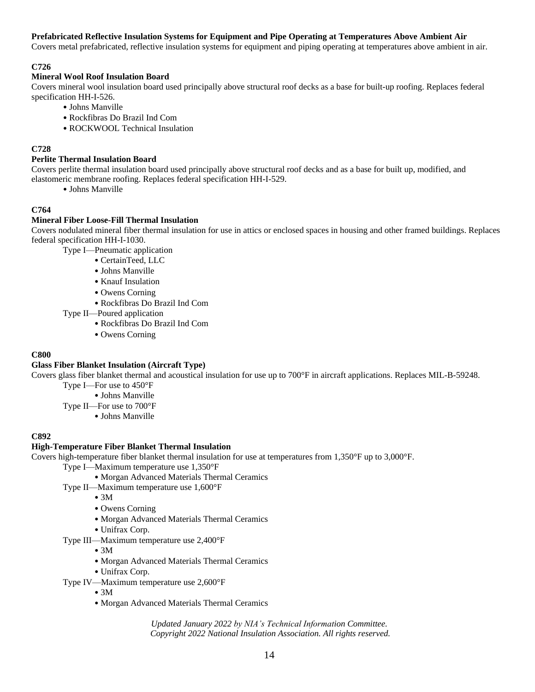## **Prefabricated Reflective Insulation Systems for Equipment and Pipe Operating at Temperatures Above Ambient Air**

Covers metal prefabricated, reflective insulation systems for equipment and piping operating at temperatures above ambient in air.

## **C726**

## **Mineral Wool Roof Insulation Board**

Covers mineral wool insulation board used principally above structural roof decks as a base for built-up roofing. Replaces federal specification HH-I-526.

- Johns Manville
- Rockfibras Do Brazil Ind Com
- ROCKWOOL Technical Insulation

## **C728**

### **Perlite Thermal Insulation Board**

Covers perlite thermal insulation board used principally above structural roof decks and as a base for built up, modified, and elastomeric membrane roofing. Replaces federal specification HH-I-529.

• Johns Manville

## **C764**

## **Mineral Fiber Loose-Fill Thermal Insulation**

Covers nodulated mineral fiber thermal insulation for use in attics or enclosed spaces in housing and other framed buildings. Replaces federal specification HH-I-1030.

Type I—Pneumatic application

- CertainTeed, LLC
- Johns Manville
- Knauf Insulation
- Owens Corning
- Rockfibras Do Brazil Ind Com
- Type II—Poured application
	- Rockfibras Do Brazil Ind Com
	- Owens Corning

## **C800**

## **Glass Fiber Blanket Insulation (Aircraft Type)**

Covers glass fiber blanket thermal and acoustical insulation for use up to 700°F in aircraft applications. Replaces MIL-B-59248.

- Type I—For use to 450°F
	- Johns Manville
- Type II—For use to 700°F
	- Johns Manville

## **C892**

## **High-Temperature Fiber Blanket Thermal Insulation**

Covers high-temperature fiber blanket thermal insulation for use at temperatures from 1,350°F up to 3,000°F.

- Type I—Maximum temperature use 1,350°F
	- Morgan Advanced Materials Thermal Ceramics

### Type II—Maximum temperature use 1,600°F

- $\bullet$  3M
- Owens Corning
- Morgan Advanced Materials Thermal Ceramics
- Unifrax Corp.
- Type III—Maximum temperature use 2,400°F
	- 3M
	- Morgan Advanced Materials Thermal Ceramics
	- Unifrax Corp.
- Type IV—Maximum temperature use 2,600°F
	- 3M
	- Morgan Advanced Materials Thermal Ceramics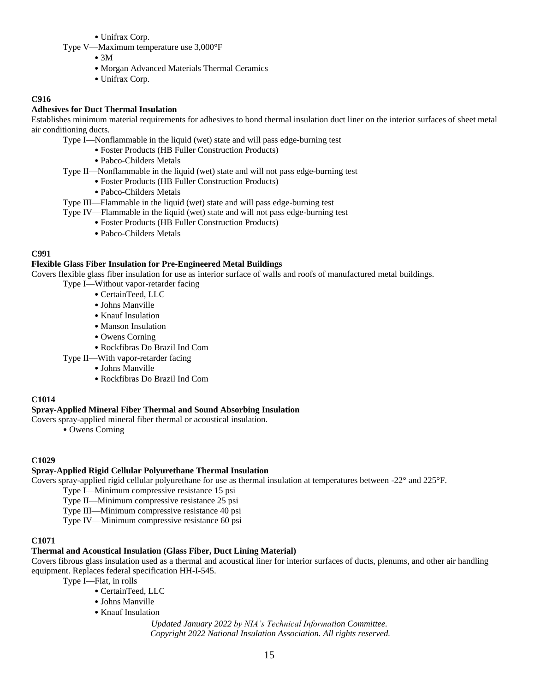• Unifrax Corp.

- Type V—Maximum temperature use 3,000°F
	- $\bullet$  3M
	- Morgan Advanced Materials Thermal Ceramics
	- Unifrax Corp.

### **C916**

#### **Adhesives for Duct Thermal Insulation**

Establishes minimum material requirements for adhesives to bond thermal insulation duct liner on the interior surfaces of sheet metal air conditioning ducts.

- Type I—Nonflammable in the liquid (wet) state and will pass edge-burning test
	- Foster Products (HB Fuller Construction Products)
	- Pabco-Childers Metals
- Type II—Nonflammable in the liquid (wet) state and will not pass edge-burning test
	- Foster Products (HB Fuller Construction Products)
	- Pabco-Childers Metals

#### Type III—Flammable in the liquid (wet) state and will pass edge-burning test

- Type IV—Flammable in the liquid (wet) state and will not pass edge-burning test
	- Foster Products (HB Fuller Construction Products)
	- Pabco-Childers Metals

#### **C991**

#### **Flexible Glass Fiber Insulation for Pre-Engineered Metal Buildings**

Covers flexible glass fiber insulation for use as interior surface of walls and roofs of manufactured metal buildings.

- Type I—Without vapor-retarder facing
	- CertainTeed, LLC
	- Johns Manville
	- Knauf Insulation
	- Manson Insulation
	- Owens Corning
	- Rockfibras Do Brazil Ind Com
- Type II—With vapor-retarder facing
	- Johns Manville
	- Rockfibras Do Brazil Ind Com

#### **C1014**

#### **Spray-Applied Mineral Fiber Thermal and Sound Absorbing Insulation**

Covers spray-applied mineral fiber thermal or acoustical insulation.

• Owens Corning

#### **C1029**

#### **Spray-Applied Rigid Cellular Polyurethane Thermal Insulation**

Covers spray-applied rigid cellular polyurethane for use as thermal insulation at temperatures between -22° and 225°F.

Type I—Minimum compressive resistance 15 psi

Type II—Minimum compressive resistance 25 psi

Type III—Minimum compressive resistance 40 psi

Type IV—Minimum compressive resistance 60 psi

#### **C1071**

#### **Thermal and Acoustical Insulation (Glass Fiber, Duct Lining Material)**

Covers fibrous glass insulation used as a thermal and acoustical liner for interior surfaces of ducts, plenums, and other air handling equipment. Replaces federal specification HH-I-545.

Type I—Flat, in rolls

- CertainTeed, LLC
- Johns Manville
- Knauf Insulation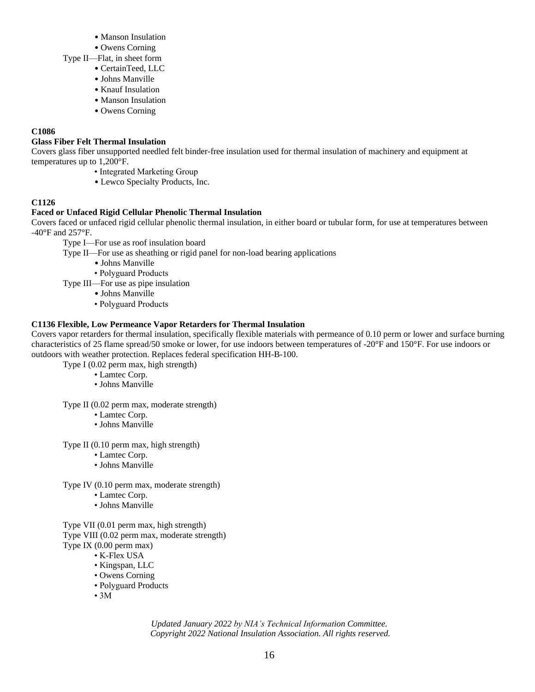- Manson Insulation
- Owens Corning
- Type II—Flat, in sheet form
	- CertainTeed, LLC
	- Johns Manville
	- Knauf Insulation
	- Manson Insulation
	- Owens Corning

## **Glass Fiber Felt Thermal Insulation**

Covers glass fiber unsupported needled felt binder-free insulation used for thermal insulation of machinery and equipment at temperatures up to 1,200°F.

- Integrated Marketing Group
	- Lewco Specialty Products, Inc.

## **C1126**

## **Faced or Unfaced Rigid Cellular Phenolic Thermal Insulation**

Covers faced or unfaced rigid cellular phenolic thermal insulation, in either board or tubular form, for use at temperatures between -40°F and 257°F.

- Type I—For use as roof insulation board
- Type II—For use as sheathing or rigid panel for non-load bearing applications
	- Johns Manville
	- Polyguard Products
- Type III—For use as pipe insulation
	- Johns Manville
	- Polyguard Products

## **C1136 Flexible, Low Permeance Vapor Retarders for Thermal Insulation**

Covers vapor retarders for thermal insulation, specifically flexible materials with permeance of 0.10 perm or lower and surface burning characteristics of 25 flame spread/50 smoke or lower, for use indoors between temperatures of -20°F and 150°F. For use indoors or outdoors with weather protection. Replaces federal specification HH-B-100.

Type I (0.02 perm max, high strength)

- Lamtec Corp.
- Johns Manville

Type II (0.02 perm max, moderate strength)

- Lamtec Corp.
- Johns Manville

Type II (0.10 perm max, high strength)

- Lamtec Corp.
- Johns Manville

Type IV (0.10 perm max, moderate strength)

- Lamtec Corp.
- Johns Manville

Type VII (0.01 perm max, high strength) Type VIII (0.02 perm max, moderate strength) Type IX (0.00 perm max)

• K-Flex USA

- Kingspan, LLC
- Owens Corning
- Polyguard Products
- $\cdot$  3M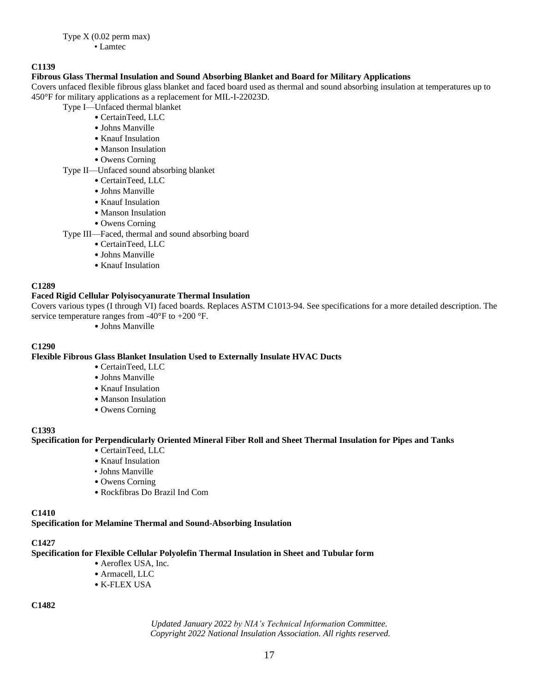## **Fibrous Glass Thermal Insulation and Sound Absorbing Blanket and Board for Military Applications**

Covers unfaced flexible fibrous glass blanket and faced board used as thermal and sound absorbing insulation at temperatures up to 450°F for military applications as a replacement for MIL-I-22023D.

Type I—Unfaced thermal blanket

- CertainTeed, LLC
- Johns Manville
- Knauf Insulation
- Manson Insulation
- Owens Corning

## Type II—Unfaced sound absorbing blanket

- CertainTeed, LLC
- Johns Manville
- Knauf Insulation
- Manson Insulation
- Owens Corning
- Type III—Faced, thermal and sound absorbing board
	- CertainTeed, LLC
	- Johns Manville
	- Knauf Insulation

#### **C1289**

## **Faced Rigid Cellular Polyisocyanurate Thermal Insulation**

Covers various types (I through VI) faced boards. Replaces ASTM C1013-94. See specifications for a more detailed description. The service temperature ranges from -40 $\mathrm{P}F$  to +200 $\mathrm{P}F$ .

• Johns Manville

### **C1290**

#### **Flexible Fibrous Glass Blanket Insulation Used to Externally Insulate HVAC Ducts**

- CertainTeed, LLC
- Johns Manville
- Knauf Insulation
- Manson Insulation
- Owens Corning

#### **C1393**

#### **Specification for Perpendicularly Oriented Mineral Fiber Roll and Sheet Thermal Insulation for Pipes and Tanks**

- CertainTeed, LLC
- Knauf Insulation
- Johns Manville
- Owens Corning
- Rockfibras Do Brazil Ind Com

#### **C1410**

#### **Specification for Melamine Thermal and Sound-Absorbing Insulation**

## **C1427**

#### **Specification for Flexible Cellular Polyolefin Thermal Insulation in Sheet and Tubular form**

- Aeroflex USA, Inc.
- Armacell, LLC
- K-FLEX USA

## **C1482**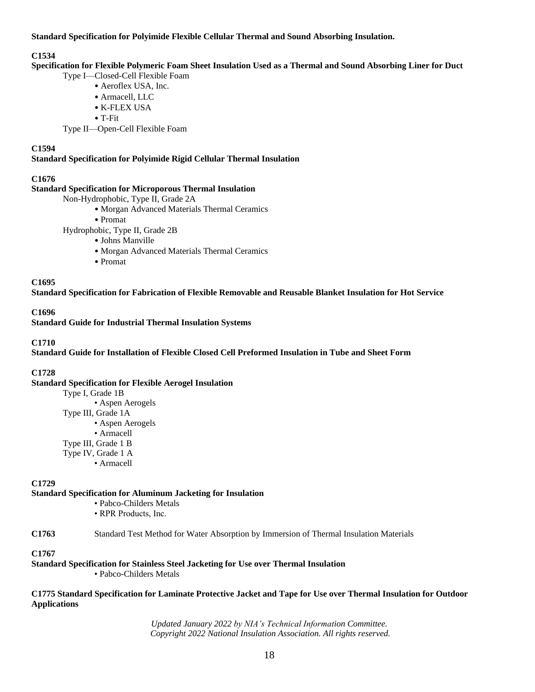**Standard Specification for Polyimide Flexible Cellular Thermal and Sound Absorbing Insulation.**

#### **C1534**

**Specification for Flexible Polymeric Foam Sheet Insulation Used as a Thermal and Sound Absorbing Liner for Duct**

Type I—Closed-Cell Flexible Foam

- Aeroflex USA, Inc.
- Armacell, LLC
- K-FLEX USA
- T-Fit

Type II—Open-Cell Flexible Foam

## **C1594**

**Standard Specification for Polyimide Rigid Cellular Thermal Insulation**

## **C1676**

#### **Standard Specification for Microporous Thermal Insulation**

- Non-Hydrophobic, Type II, Grade 2A
	- Morgan Advanced Materials Thermal Ceramics
	- Promat

Hydrophobic, Type II, Grade 2B

- Johns Manville
- Morgan Advanced Materials Thermal Ceramics
- Promat

**C1695**

**Standard Specification for Fabrication of Flexible Removable and Reusable Blanket Insulation for Hot Service**

#### **C1696**

**Standard Guide for Industrial Thermal Insulation Systems**

## **C1710**

**Standard Guide for Installation of Flexible Closed Cell Preformed Insulation in Tube and Sheet Form**

## **C1728**

**Standard Specification for Flexible Aerogel Insulation**

Type I, Grade 1B • Aspen Aerogels Type III, Grade 1A • Aspen Aerogels • Armacell Type III, Grade 1 B Type IV, Grade 1 A • Armacell

#### **C1729**

#### **Standard Specification for Aluminum Jacketing for Insulation**

- Pabco-Childers Metals
- RPR Products, Inc.

#### **C1763** Standard Test Method for Water Absorption by Immersion of Thermal Insulation Materials

## **C1767**

**Standard Specification for Stainless Steel Jacketing for Use over Thermal Insulation**

• Pabco-Childers Metals

#### **C1775 Standard Specification for Laminate Protective Jacket and Tape for Use over Thermal Insulation for Outdoor Applications**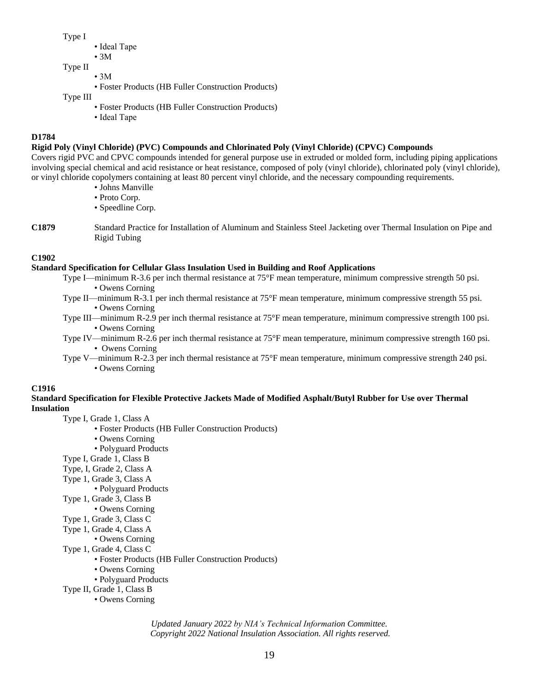Type I

- Ideal Tape
- 3M
- Type II
	- 3M
		- Foster Products (HB Fuller Construction Products)
- Type III
	- Foster Products (HB Fuller Construction Products)
	- Ideal Tape

## **D1784**

## **Rigid Poly (Vinyl Chloride) (PVC) Compounds and Chlorinated Poly (Vinyl Chloride) (CPVC) Compounds**

Covers rigid PVC and CPVC compounds intended for general purpose use in extruded or molded form, including piping applications involving special chemical and acid resistance or heat resistance, composed of poly (vinyl chloride), chlorinated poly (vinyl chloride), or vinyl chloride copolymers containing at least 80 percent vinyl chloride, and the necessary compounding requirements.

- Johns Manville
- Proto Corp.
- Speedline Corp.
- **C1879** Standard Practice for Installation of Aluminum and Stainless Steel Jacketing over Thermal Insulation on Pipe and Rigid Tubing

## **C1902**

## **Standard Specification for Cellular Glass Insulation Used in Building and Roof Applications**

- Type I—minimum R-3.6 per inch thermal resistance at 75°F mean temperature, minimum compressive strength 50 psi. • Owens Corning
- Type II—minimum R-3.1 per inch thermal resistance at 75°F mean temperature, minimum compressive strength 55 psi. • Owens Corning
- Type III—minimum R-2.9 per inch thermal resistance at 75°F mean temperature, minimum compressive strength 100 psi. • Owens Corning
- Type IV—minimum R-2.6 per inch thermal resistance at 75°F mean temperature, minimum compressive strength 160 psi. • Owens Corning
- Type V—minimum R-2.3 per inch thermal resistance at 75°F mean temperature, minimum compressive strength 240 psi. • Owens Corning

## **C1916**

#### **Standard Specification for Flexible Protective Jackets Made of Modified Asphalt/Butyl Rubber for Use over Thermal Insulation**

Type I, Grade 1, Class A

- Foster Products (HB Fuller Construction Products)
- Owens Corning
- Polyguard Products
- Type I, Grade 1, Class B
- Type, I, Grade 2, Class A
- Type 1, Grade 3, Class A
- Polyguard Products
- Type 1, Grade 3, Class B
	- Owens Corning
- Type 1, Grade 3, Class C
- Type 1, Grade 4, Class A
	- Owens Corning
- Type 1, Grade 4, Class C
	- Foster Products (HB Fuller Construction Products)
		- Owens Corning
		- Polyguard Products

Type II, Grade 1, Class B

• Owens Corning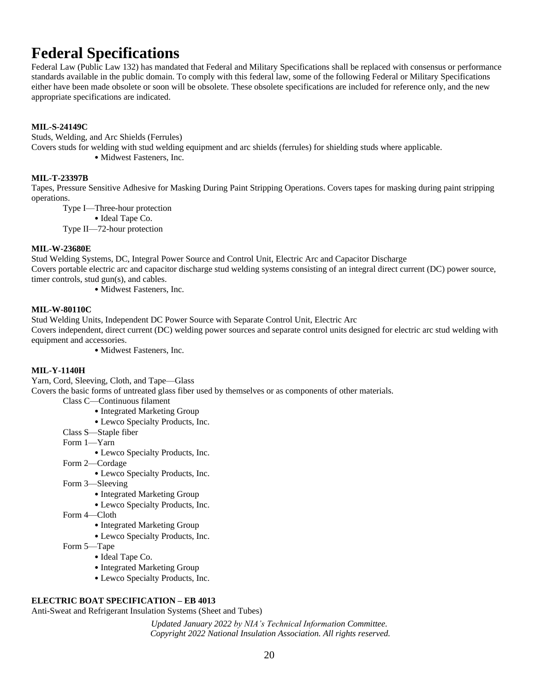# **Federal Specifications**

Federal Law (Public Law 132) has mandated that Federal and Military Specifications shall be replaced with consensus or performance standards available in the public domain. To comply with this federal law, some of the following Federal or Military Specifications either have been made obsolete or soon will be obsolete. These obsolete specifications are included for reference only, and the new appropriate specifications are indicated.

## **MIL-S-24149C**

Studs, Welding, and Arc Shields (Ferrules)

Covers studs for welding with stud welding equipment and arc shields (ferrules) for shielding studs where applicable.

• Midwest Fasteners, Inc.

## **MIL-T-23397B**

Tapes, Pressure Sensitive Adhesive for Masking During Paint Stripping Operations. Covers tapes for masking during paint stripping operations.

Type I—Three-hour protection

• Ideal Tape Co.

Type II—72-hour protection

#### **MIL-W-23680E**

Stud Welding Systems, DC, Integral Power Source and Control Unit, Electric Arc and Capacitor Discharge Covers portable electric arc and capacitor discharge stud welding systems consisting of an integral direct current (DC) power source, timer controls, stud gun(s), and cables.

• Midwest Fasteners, Inc.

#### **MIL-W-80110C**

Stud Welding Units, Independent DC Power Source with Separate Control Unit, Electric Arc Covers independent, direct current (DC) welding power sources and separate control units designed for electric arc stud welding with equipment and accessories.

• Midwest Fasteners, Inc.

#### **MIL-Y-1140H**

Yarn, Cord, Sleeving, Cloth, and Tape—Glass

Covers the basic forms of untreated glass fiber used by themselves or as components of other materials.

- Class C—Continuous filament
	- Integrated Marketing Group
	- Lewco Specialty Products, Inc.
- Class S—Staple fiber

Form 1—Yarn

- Lewco Specialty Products, Inc.
- Form 2—Cordage
	- Lewco Specialty Products, Inc.
- Form 3—Sleeving
	- Integrated Marketing Group
	- Lewco Specialty Products, Inc.
- Form 4—Cloth
	- Integrated Marketing Group
	- Lewco Specialty Products, Inc.
- Form 5—Tape
	- Ideal Tape Co.
	- Integrated Marketing Group
	- Lewco Specialty Products, Inc.

#### **ELECTRIC BOAT SPECIFICATION – EB 4013**

Anti-Sweat and Refrigerant Insulation Systems (Sheet and Tubes)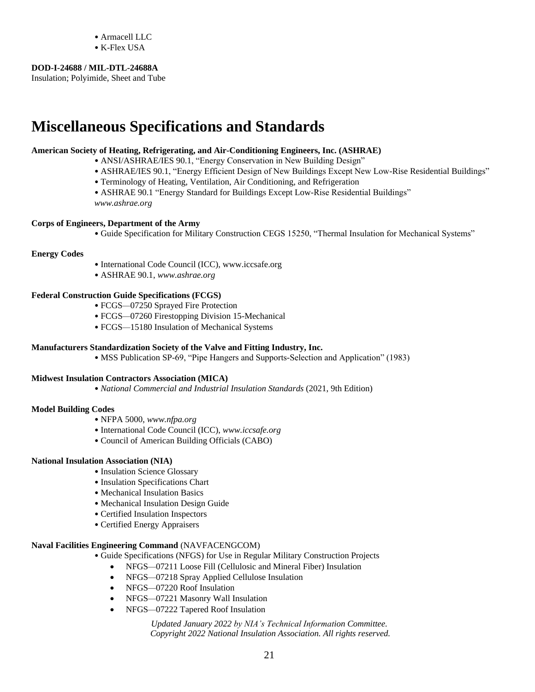- Armacell LLC
- K-Flex USA

#### **DOD-I-24688 / MIL-DTL-24688A**

Insulation; Polyimide, Sheet and Tube

# **Miscellaneous Specifications and Standards**

#### **American Society of Heating, Refrigerating, and Air-Conditioning Engineers, Inc. (ASHRAE)**

- ANSI/ASHRAE/IES 90.1, "Energy Conservation in New Building Design"
- ASHRAE/IES 90.1, "Energy Efficient Design of New Buildings Except New Low-Rise Residential Buildings"
- Terminology of Heating, Ventilation, Air Conditioning, and Refrigeration
- ASHRAE 90.1 "Energy Standard for Buildings Except Low-Rise Residential Buildings"

*www.ashrae.org*

#### **Corps of Engineers, Department of the Army**

• Guide Specification for Military Construction CEGS 15250, "Thermal Insulation for Mechanical Systems"

#### **Energy Codes**

- International Code Council (ICC), www.iccsafe.org
- ASHRAE 90.1, *www.ashrae.org*

#### **Federal Construction Guide Specifications (FCGS)**

- FCGS*—*07250 Sprayed Fire Protection
- FCGS*—*07260 Firestopping Division 15-Mechanical
- FCGS*—*15180 Insulation of Mechanical Systems

#### **Manufacturers Standardization Society of the Valve and Fitting Industry, Inc.**

• MSS Publication SP-69, "Pipe Hangers and Supports-Selection and Application" (1983)

#### **Midwest Insulation Contractors Association (MICA)**

• *National Commercial and Industrial Insulation Standards* (2021, 9th Edition)

#### **Model Building Codes**

- NFPA 5000, *www.nfpa.org*
- International Code Council (ICC), *www.iccsafe.org*
- Council of American Building Officials (CABO)

#### **National Insulation Association (NIA)**

- Insulation Science Glossary
- Insulation Specifications Chart
- Mechanical Insulation Basics
- Mechanical Insulation Design Guide
- Certified Insulation Inspectors
- Certified Energy Appraisers

#### **Naval Facilities Engineering Command** (NAVFACENGCOM)

- Guide Specifications (NFGS) for Use in Regular Military Construction Projects
	- NFGS*—*07211 Loose Fill (Cellulosic and Mineral Fiber) Insulation
	- NFGS*—*07218 Spray Applied Cellulose Insulation
	- NFGS*—*07220 Roof Insulation
	- NFGS*—*07221 Masonry Wall Insulation
	- NFGS*—*07222 Tapered Roof Insulation